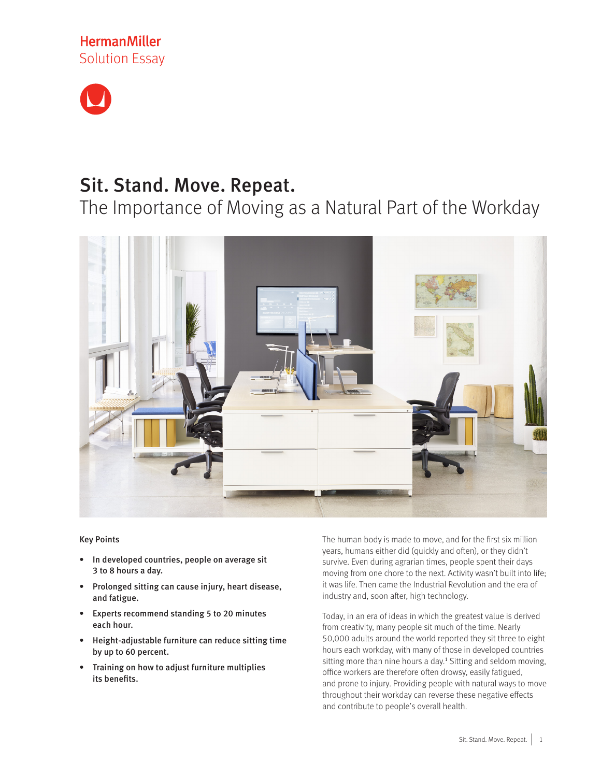



# Sit. Stand. Move. Repeat.

The Importance of Moving as a Natural Part of the Workday



#### Key Points

- • In developed countries, people on average sit 3 to 8 hours a day.
- • Prolonged sitting can cause injury, heart disease, and fatigue.
- Experts recommend standing 5 to 20 minutes each hour.
- • Height-adjustable furniture can reduce sitting time by up to 60 percent.
- • Training on how to adjust furniture multiplies its benefits.

The human body is made to move, and for the first six million years, humans either did (quickly and often), or they didn't survive. Even during agrarian times, people spent their days moving from one chore to the next. Activity wasn't built into life; it was life. Then came the Industrial Revolution and the era of industry and, soon after, high technology.

Today, in an era of ideas in which the greatest value is derived from creativity, many people sit much of the time. Nearly 50,000 adults around the world reported they sit three to eight hours each workday, with many of those in developed countries sitting more than nine hours a day.<sup>1</sup> Sitting and seldom moving, office workers are therefore often drowsy, easily fatigued, and prone to injury. Providing people with natural ways to move throughout their workday can reverse these negative effects and contribute to people's overall health.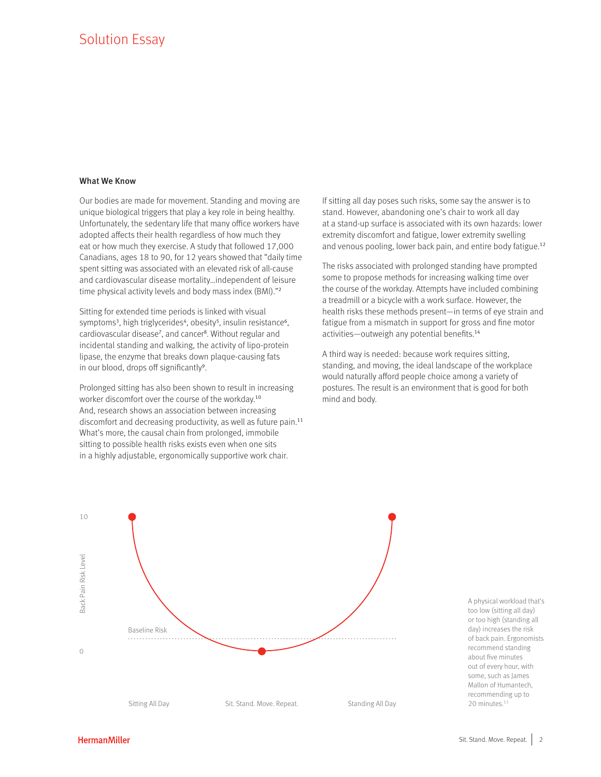## Solution Essay

#### What We Know

Our bodies are made for movement. Standing and moving are unique biological triggers that play a key role in being healthy. Unfortunately, the sedentary life that many office workers have adopted affects their health regardless of how much they eat or how much they exercise. A study that followed 17,000 Canadians, ages 18 to 90, for 12 years showed that "daily time spent sitting was associated with an elevated risk of all-cause and cardiovascular disease mortality…independent of leisure time physical activity levels and body mass index (BMI)."<sup>2</sup>

Sitting for extended time periods is linked with visual symptoms<sup>3</sup>, high triglycerides<sup>4</sup>, obesity<sup>5</sup>, insulin resistance<sup>6</sup>, cardiovascular disease<sup>7</sup>, and cancer<sup>8</sup>. Without regular and incidental standing and walking, the activity of lipo-protein lipase, the enzyme that breaks down plaque-causing fats in our blood, drops off significantly<sup>9</sup>.

Prolonged sitting has also been shown to result in increasing worker discomfort over the course of the workday.<sup>10</sup> And, research shows an association between increasing discomfort and decreasing productivity, as well as future pain.<sup>11</sup> What's more, the causal chain from prolonged, immobile sitting to possible health risks exists even when one sits in a highly adjustable, ergonomically supportive work chair.

If sitting all day poses such risks, some say the answer is to stand. However, abandoning one's chair to work all day at a stand-up surface is associated with its own hazards: lower extremity discomfort and fatigue, lower extremity swelling and venous pooling, lower back pain, and entire body fatigue.<sup>12</sup>

The risks associated with prolonged standing have prompted some to propose methods for increasing walking time over the course of the workday. Attempts have included combining a treadmill or a bicycle with a work surface. However, the health risks these methods present—in terms of eye strain and fatigue from a mismatch in support for gross and fine motor activities—outweigh any potential benefits.<sup>14</sup>

A third way is needed: because work requires sitting, standing, and moving, the ideal landscape of the workplace would naturally afford people choice among a variety of postures. The result is an environment that is good for both mind and body.



A physical workload that's too low (sitting all day) or too high (standing all day) increases the risk of back pain. Ergonomists recommend standing about five minutes out of every hour, with some, such as James Mallon of Humantech, recommending up to 20 minutes.<sup>13</sup>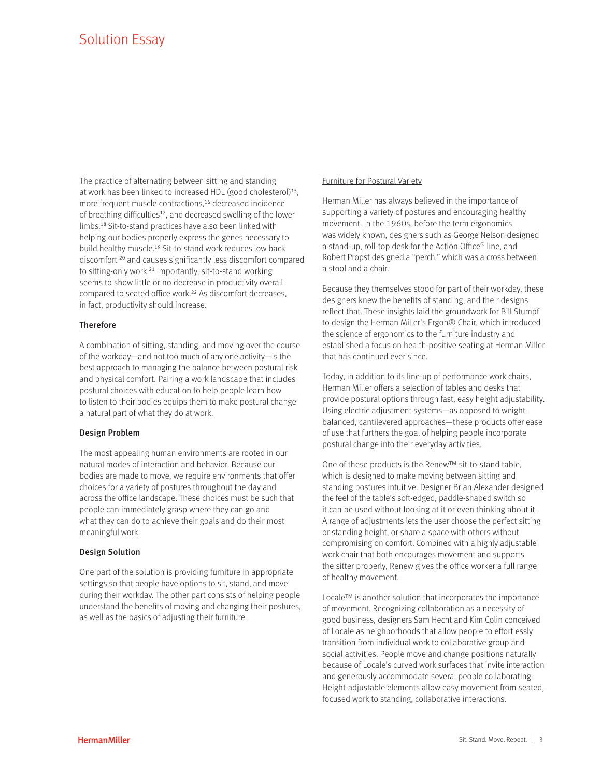The practice of alternating between sitting and standing at work has been linked to increased HDL (good cholesterol)<sup>15</sup>, more frequent muscle contractions,<sup>16</sup> decreased incidence of breathing difficulties<sup>17</sup>, and decreased swelling of the lower limbs.<sup>18</sup> Sit-to-stand practices have also been linked with helping our bodies properly express the genes necessary to build healthy muscle.<sup>19</sup> Sit-to-stand work reduces low back discomfort<sup>20</sup> and causes significantly less discomfort compared to sitting-only work.<sup>21</sup> Importantly, sit-to-stand working seems to show little or no decrease in productivity overall compared to seated office work.<sup>22</sup> As discomfort decreases, in fact, productivity should increase.

#### **Therefore**

A combination of sitting, standing, and moving over the course of the workday—and not too much of any one activity—is the best approach to managing the balance between postural risk and physical comfort. Pairing a work landscape that includes postural choices with education to help people learn how to listen to their bodies equips them to make postural change a natural part of what they do at work.

#### Design Problem

The most appealing human environments are rooted in our natural modes of interaction and behavior. Because our bodies are made to move, we require environments that offer choices for a variety of postures throughout the day and across the office landscape. These choices must be such that people can immediately grasp where they can go and what they can do to achieve their goals and do their most meaningful work.

#### Design Solution

One part of the solution is providing furniture in appropriate settings so that people have options to sit, stand, and move during their workday. The other part consists of helping people understand the benefits of moving and changing their postures, as well as the basics of adjusting their furniture.

#### Furniture for Postural Variety

Herman Miller has always believed in the importance of supporting a variety of postures and encouraging healthy movement. In the 1960s, before the term ergonomics was widely known, designers such as George Nelson designed a stand-up, roll-top desk for the Action Office® line, and Robert Propst designed a "perch," which was a cross between a stool and a chair.

Because they themselves stood for part of their workday, these designers knew the benefits of standing, and their designs reflect that. These insights laid the groundwork for Bill Stumpf to design the Herman Miller's Ergon® Chair, which introduced the science of ergonomics to the furniture industry and established a focus on health-positive seating at Herman Miller that has continued ever since.

Today, in addition to its line-up of performance work chairs, Herman Miller offers a selection of tables and desks that provide postural options through fast, easy height adjustability. Using electric adjustment systems—as opposed to weightbalanced, cantilevered approaches—these products offer ease of use that furthers the goal of helping people incorporate postural change into their everyday activities.

One of these products is the Renew™ sit-to-stand table, which is designed to make moving between sitting and standing postures intuitive. Designer Brian Alexander designed the feel of the table's soft-edged, paddle-shaped switch so it can be used without looking at it or even thinking about it. A range of adjustments lets the user choose the perfect sitting or standing height, or share a space with others without compromising on comfort. Combined with a highly adjustable work chair that both encourages movement and supports the sitter properly, Renew gives the office worker a full range of healthy movement.

Locale™ is another solution that incorporates the importance of movement. Recognizing collaboration as a necessity of good business, designers Sam Hecht and Kim Colin conceived of Locale as neighborhoods that allow people to effortlessly transition from individual work to collaborative group and social activities. People move and change positions naturally because of Locale's curved work surfaces that invite interaction and generously accommodate several people collaborating. Height-adjustable elements allow easy movement from seated, focused work to standing, collaborative interactions.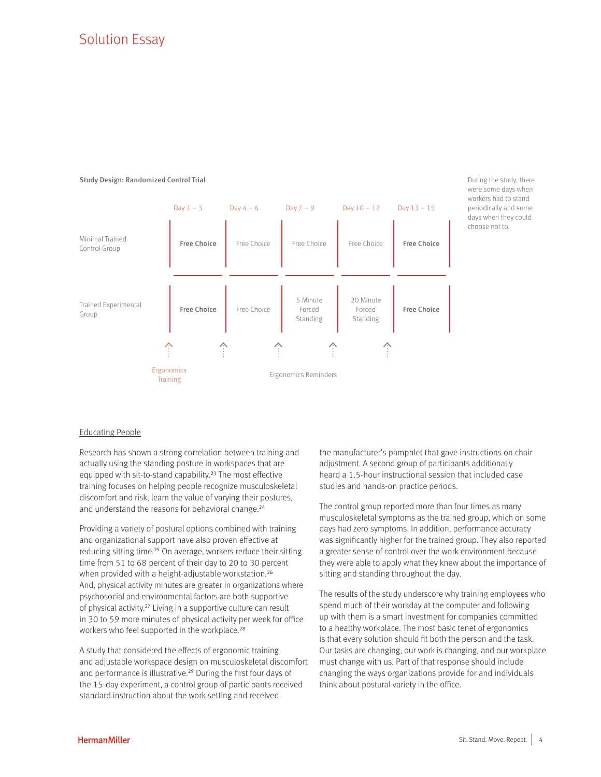# Solution Essay

#### Study Design: Randomized Control Trial



During the study, there were some days when workers had to stand periodically and some days when they could choose not to.

#### Educating People

Research has shown a strong correlation between training and actually using the standing posture in workspaces that are equipped with sit-to-stand capability.<sup>23</sup> The most effective training focuses on helping people recognize musculoskeletal discomfort and risk, learn the value of varying their postures, and understand the reasons for behavioral change.<sup>24</sup>

Providing a variety of postural options combined with training and organizational support have also proven effective at reducing sitting time.<sup>25</sup> On average, workers reduce their sitting time from 51 to 68 percent of their day to 20 to 30 percent when provided with a height-adjustable workstation.<sup>26</sup> And, physical activity minutes are greater in organizations where psychosocial and environmental factors are both supportive of physical activity.<sup>27</sup> Living in a supportive culture can result in 30 to 59 more minutes of physical activity per week for office workers who feel supported in the workplace.<sup>28</sup>

A study that considered the effects of ergonomic training and adjustable workspace design on musculoskeletal discomfort and performance is illustrative.<sup>29</sup> During the first four days of the 15-day experiment, a control group of participants received standard instruction about the work setting and received

the manufacturer's pamphlet that gave instructions on chair adjustment. A second group of participants additionally heard a 1.5-hour instructional session that included case studies and hands-on practice periods.

The control group reported more than four times as many musculoskeletal symptoms as the trained group, which on some days had zero symptoms. In addition, performance accuracy was significantly higher for the trained group. They also reported a greater sense of control over the work environment because they were able to apply what they knew about the importance of sitting and standing throughout the day.

The results of the study underscore why training employees who spend much of their workday at the computer and following up with them is a smart investment for companies committed to a healthy workplace. The most basic tenet of ergonomics is that every solution should fit both the person and the task. Our tasks are changing, our work is changing, and our workplace must change with us. Part of that response should include changing the ways organizations provide for and individuals think about postural variety in the office.